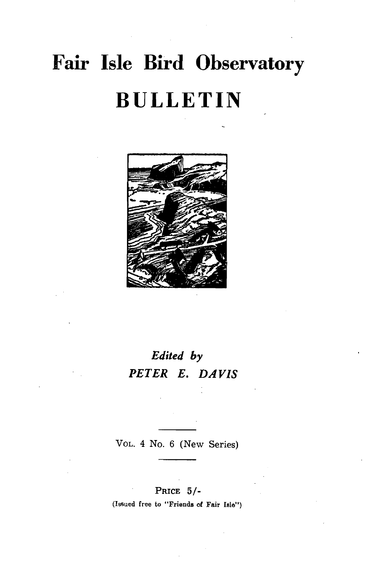# **Fair Isle Bird Observatory BULLETIN**



# *Edited by PETER E. DAVIS*

VOL. 4 No. 6 (New Series)

# PRICE 5/-

(Issued free to "Friends of Fair Isle")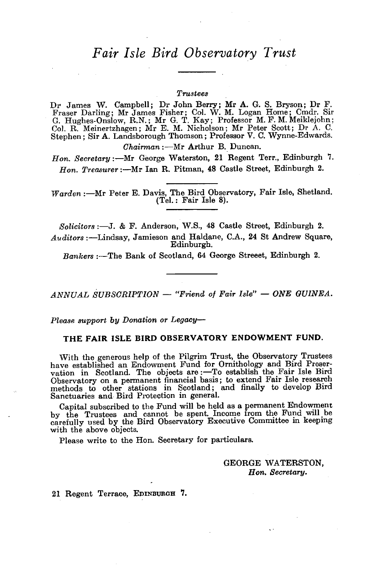# *Fair Isle Bird Observatory Trust*

### *Trustees*

Dr James W. Campbell; Dr John Berry; Mr A. G. S. Bryson; Dr F. Fraser Darling; Mr James Fisher; Col. W. M. Logan Home; Cmdr. Sir G. Hughes-Onslow, R.N.; Mr G. T. Kay; Professor M. F. M. Meiklejohn; Col. R. Meinertzhagen; Mr E. M. Nicholson; Mr Peter Scott; Dr A. C. Stephen; Sir A. Landsborough Thomson; Professor V. C. Wynne-Edwards. *Chairman* :- Mr Arthur B. Duncan.

*Hon. Secretary:-Mr* George Waterston, 21 Regent Terr., Edinburgh 7. Hon. Treasurer :- Mr Ian R. Pitman, 48 Castle Street, Edinburgh 2.

*Warden* :- Mr Peter E. Davis, The Bird Observatory, Fair Isle, Shetland. (Tel.: Fair Isle 8).

*Solicitors* :-J. & F. Anderson, W.S., 48 Castle Street, Edinburgh 2.

*Auditors* :-Lindsay, Jamieson and Haldane, C.A., 24 St Andrew Square, Edinburgh.

*Bankers* :-The Bank of Scotland, 64 George Streeet, Edinburgh 2.

*ANNUAL SUBSCRIPTION* - "Friend of Fair Isle" - ONE GUINEA.

*Please support by Donation or Legacy-*

### THE FAIR ISLE BIRD OBSERVATORY ENDOWMENT FUND.

'With the generous help of the Pilgrim Trust, the Observatory Trustees have established an Endowment Fund for Ornithology and Bird Preservation in Scotland. The objects are :- To establish the Fair Isle Bird Observatory on a permanent financial basis; to extend Fair Isle research methods to other stations in Scotland; and finally to develop Bird Sanctuaries and Bird Protection in general.

Capital subscribed to the Fund will be held as a permanent Endowment by the Trustees and cannot be spent. Income from the Fund will be carefully used by the Bird Observatory Executive Committee in keeping with the above objects.

Please write to the Hon. Secretary for particulars.

GEORGE WATERSTON, *Hon. Secretary.* 

21 Regent Terrace, EDINBURGH 7.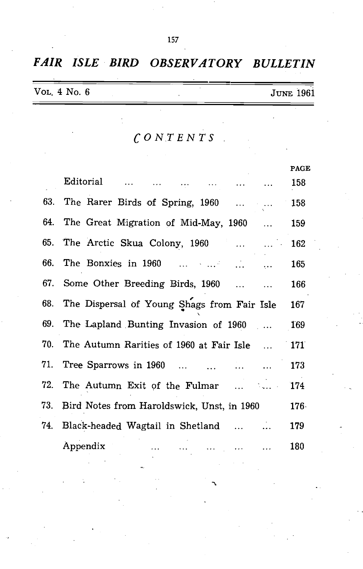|  |  |  | FAIR ISLE BIRD OBSERVATORY BULLETIN |  |
|--|--|--|-------------------------------------|--|
|--|--|--|-------------------------------------|--|

| VOL. 4 No. 6 |  |  | <b>JUNE 1961</b> |  |
|--------------|--|--|------------------|--|
|              |  |  |                  |  |

*CONTENTS* 

|                                                                    | <b>PAGE</b>  |
|--------------------------------------------------------------------|--------------|
| <b>Editorial</b>                                                   | 158          |
| 63. The Rarer Birds of Spring, 1960   158                          |              |
| 64. The Great Migration of Mid-May, 1960                           | 159          |
| The Arctic Skua Colony, 1960                                       | 162          |
| 66. The Bonxies in 1960                                            | 165          |
| 67. Some Other Breeding Birds, 1960                                | 166          |
| 68. The Dispersal of Young Shags from Fair Isle                    | 167          |
| 69. The Lapland Bunting Invasion of 1960  169                      |              |
| 70. The Autumn Rarities of 1960 at Fair Isle                       | $\sqrt{171}$ |
| 71. Tree Sparrows in 1960                                          | 173          |
| 72. The Autumn Exit of the Fulmar                                  | 174          |
| 73. Bird Notes from Haroldswick, Unst, in 1960                     | $176 -$      |
| 74. Black-headed Wagtail in Shetland                               | 179          |
| Appendix<br>فتداد المتداي التبداد المتد<br>$\sim 100$ km s $^{-1}$ | 180          |
|                                                                    |              |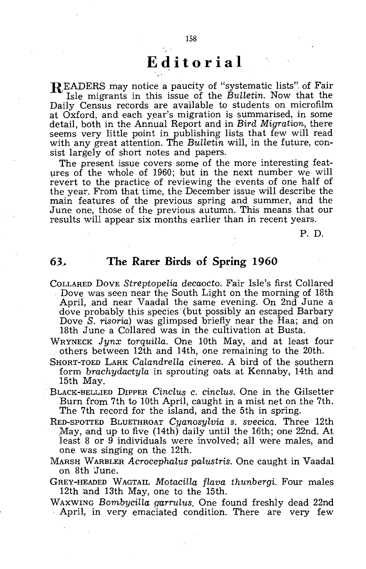# **Editorial**

READERS may notice a paucity of "systematic lists". of Fair Isle migrants in this issue of the *Bulletin.* Now that the Daily Census records are available to students on microfilm at Oxford, and each year's migration is summarised, in some detail, both in the Annual Report and in *Bird Migration,* there seems very little point in publishing lists that few will read with any great attention. The *Bulletin* will, in the future, consist largely of short notes and papers.

The present issue covers some of the more interesting features of the whole of 1960; but in the next number we will revert to the practice of reviewing the events of one half of the year. From that time, the December issue will describe the main features of the previous spring and summer, and the June one, those of the previous autumn. This means that our results will appear six months earlier than in recent years.

P. D.

# **63.** The Rarer Birds of Spring 1960

- COLLARED DOVE *Streptopelia decaocto*. Fair Isle's first Collared . Dove was seen near the South Light on the morning of 18th April, and near Vaadal the same evening. On 2nd June a dove probably this species' (but possibly an escaped Barbary Dove S. *risoria)* was glimpsed briefly near the Haa; and on 18th June a Collared was in the cultivation at Busta.
- WRYNECK Jynx torquilla. One 10th May, and at least four others between 12th and 14th, one remaining to the 20th.
- SHORT-TOED LARK *Calandrella cinerea.* A bird of the southern form *brachydactyla* in sprouting oats at Kennaby, 14th and 15th May.
- BLACK-BELLIED DIPPER *Cinclus* c. *cinclus.* One in the Gilsetter Burn from 7th to 10th April, caught in a mist net on the 7th. The 7th record for the island, and the 5th in spring.
- RED-SPOTTED BLUETHROAT *Cyanosylvia s. svecica.* Three 12th May, and up to five (14th) daily until the 16th; one 22nd. At least 8 or 9 individuals were involved; all were males, and one was singing on the 12th.
- MARSH WARBLER *Acrocephalus palustris.* One caught in Vaadal on 8th June.
- GREY-HEADED WAGTAIL *Motacilla flava thunbergi.* Four males 12th and 13th May, one to the 15th.<br>WAXWING Bombycilla garrulus. One found freshly dead 22nd
- April, in very emaciated condition. There are very few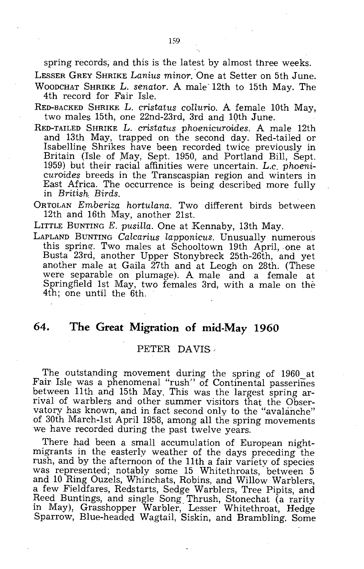spring records, and this is the latest by almost three weeks.

LESSER GREY SHRIKE *Lanius minor.* One at Setter on 5th June. WOODCHAT SHRIKE L. *senator.* A male' 12th to 15th May. The 4th record for Fair Isle.

- RED-BACKED SHRIKE L. *cristatus collurio.* A female 10th May, two males 15th, one 22nd-23rd, 3rd and 10th June.
- RED-TAILED SHRIKE L. *cristatus phoenicuroides.* A male 12th and 13th May, trapped on the second day. Red-tailed or Isabelline Shrikes have been recorded twice previously in Britain (Isle of May, Sept. 1950, and Portland Bill, Sept. 1959) but their racial affinities were uncertain. L.c. *phoenicuroides* breeds in the Transcaspian region and winters in East Africa. The occurrence is being described more fully in *British. Birds.*
- ORTOLAN *Emberiza hortulana.* Two different birds between 12th and 16th May, another 21st.

LITTLE BUNTING *E. pusilla.* One at Kennaby, 13th May.

LAPLAND BUNTING *Calcarius lapponicus.* Unusually numerous this spring'. Two males at Schooltown 19th April, one at Busta 23rd, another Upper Stonybreck 25th-26th, and yet another male at Gaila 27th and at Leogh on 28th. (These were separable on plumage). A male and a female at Springfield 1st May, two females 3rd, with a male on the 4th; one until the 6th.

# **64. The Great Migration of mid-May 1960**

### PETER DAVIS

The outstanding movement during the spring of 1960 at Fair Isle was a phenomenal "rush" of Continental passerines between 11th and 15th May. This was the largest spring arrival of warblers and other summer visitors that the Observatory has known, and in fact second only to the "avalanche" of 30th March-1st April 1958, among all the spring movements we have recorded during the past twelve years.

There had been a small accumulation of European nightmigrants in the easterly weather of the days preceding the rush, and by the afternoon of the 11th a fair variety of species was represented; notably some 15 Whitethroats, between 5 and 10 Ring Ouzels, Whinchats, Robins, and Willow Warblers, a few Fieldfares, Redstarts, Sedge Warblers, Tree Pipits, and Reed Buntings, and single Song. Thrush, Stonechat (a rarity in May), Grasshopper Warbler, Lesser Whitethroat, Hedge Sparrow, Blue-headed Wagtail, Siskin, and Brambling. Some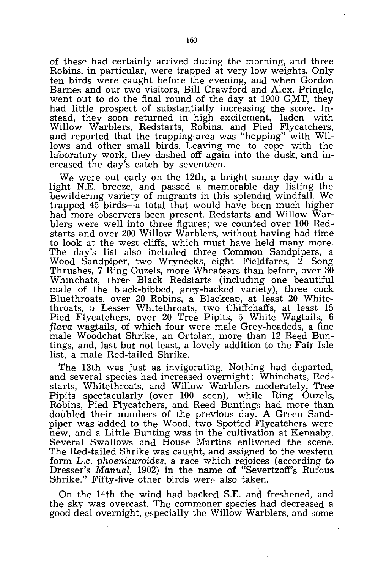of these had certainly arrived during the morning, and three Robins, in particular, were trapped at very low weights. Only ten birds were caught before the evening, and when Gordon Barnes and our two visitors, Bill Crawford and Alex. Pringle, went out to do the final round of the day at  $1900$  GMT, they had little prospect of substantially increasing the score. Instead, they soon returned in high excitement, laden with Willow Warblers, Redstarts, Robins, and Pied Flycatchers, and reported that the trapping-area was "hopping" with Willows and other small birds. Leaving me to cope with the laboratory work, they dashed off again into the dusk, and increased the day's catch by seventeen.

We were out early on the 12th, a bright sunny day with a light N.E. breeze, and passed a memorable day listing the bewildering variety of migrants in this splendid windfall. We trapped 45 birds-a total that would have been much higher had more observers been present. Redstarts and Willow Warblers were well into three figures; we counted over 100 Redstarts and over 200 Willow Warblers, without having had time to look at the west cliffs, which must have held many more. The day's list also included three Common Sandpipers, a Wood Sandpiper, two Wrynecks, eight Fieldfares, 2 Song Thrushes, 7 Ring Ouzels, more Wheatears than before, over 30 Whinchats, three Black Redstarts (including one beautiful male of the black-bibbed, grey-backed variety). three cock Bluethroats, over 20 Robins, a Blackcap, at least 20 Whitethroats, 5 Lesser Whitethroats, two Chiffchaffs, at least 15 Pied Flycatchers, over 20 Tree Pipits, 5 White Wagtails, 6 flava wagtails, of which four were male Grey-headeds, a fine male Woodchat Shrike, an Ortolan, more than 12 Reed Buntings, and, last but not least, a lovely addition to the Fair Isle list, a male Red-tailed Shrike.

The 13th was just as invigorating. Nothing had departed, and several species had increased overnight: Whinchats, Redstarts, Whitethroats, and Willow Warblers moderately, Tree Pipits spectacularly (over 100 seen), while Ring Ouzels, Robins, Pied Flycatchers, and Reed Buntings had more than doubled their numbers of the previous day. A Green Sandpiper was added to the Wood, two Spotted Flycatchers were new, and a Little Bunting was in the cultivation at Kennaby. Several Swallows and House Martins enlivened the scene. The Red-tailed Shrike was caught, and assigned to the western form L.c. phoenicuroides, a race which rejoices (according to Dresser's Manual, 1902) in the name of "Severtzoff's Rufous Shrike." Fifty-five other birds were also taken.

On the 14th the wind had backed S.E. and freshened, and the sky was overcast. The commoner species had decreased a good deal overnight, especially the Willow Warblers, and some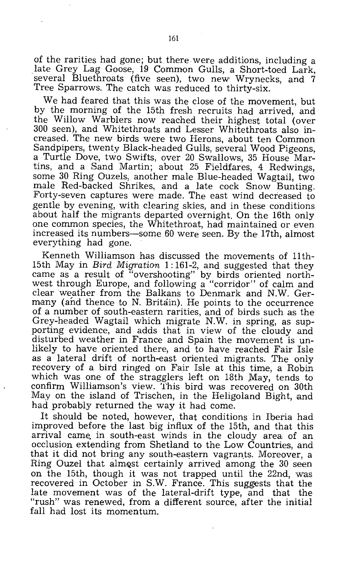of the rarities had gone; but. there were additions, including a late Grey Lag Goose, 19 Common Gulls, a Short-toed Lark, several Bluethroats (five seen), two new Wrynecks, and 7 Tree Sparrows. The catch was reduced to thirty-six.

We had feared that this was the close of the movement, but by the morning of the 15th fresh recruits had arrived, and the Willow Warblers now reached their highest total (over 300 seen), and Whitethroats and Lesser Whitethroats also increased. The new birds were two Herons, about ten Common Sandpipers, twenty Black-headed Gulls, several Wood Pigeons, a Turtle Dove, two Swifts, over 20 Swallows, 35 House Martins, and a Sand Martin; about 25 Fieldfares, 4 Redwings, some 30 Ring Ouzels, another male Blue-headed Wagtail, two male Red-backed Shrikes, and a late cock Snow Bunting. Forty-seven captures were made. The east wind decreased to gentle by evening, with clearing skies, and in these conditions about half the migrants departed overnight. On the 16th only one common species, the Whitethroat, had maintained or even increased its numbers-some 60 were seen. By the 17th, almost everything had gone.

Kenneth Williamson has discussed the movements of 1lth-15th May in *Bird Migration* 1: 161-2, and suggested that they came as a result of "overshooting" by birds oriented northwest through Europe, and following a "corridor" of calm and clear weather from the Balkans to Denmark and N.W. Germany (and thence to N. Britain). He points to the occurrence of a number of south-eastern rarities, and of birds such as the Grey-headed Wagtail which migrate N.W. in spring, as supporting evidence, and adds that in view of the cloudy and disturbed weather in France and Spain the movement is unlikely to have oriented there, and to have reached Fair Isle as a lateral drift of north-east oriented migrants. The only recovery of a bird ringed on Fair Isle at this time, a Robin which was one of the stragglers left on 18th May, tends to confirm Williamson's view. This bird was recovered on 30th May on the island of Trischen, in the Heligoland Bight, and had probably returned the way it had come.

It should be noted, however, that conditions in Iberia had improved before the last big influx of the 15th, and that this arrival came. in south-east winds in the cloudy area, of an occlusion extending from Shetland to the Low Countries, and that it did not bring any south-eastern vagrants. Moreover, a Ring Ouzel that almQst certainly arrived among the 30 seen on the 15th, though it was not trapped until the 22nd, was recovered in October in S.W. France. This suggests that the late movement was of the lateral-drift type, and that the "rush" was renewed, from a different source, after the initial fall had lost its momentum.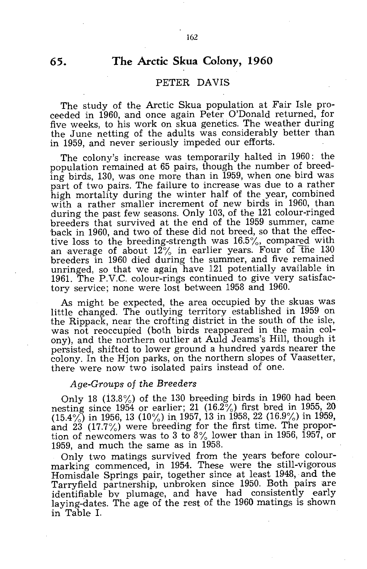# **The Arctic Skua Colony, 1960**

### PETER DAVIS

The study of the Arctic Skua population at Fair Isle proceeded in 1960, and once again Peter O'Donald returned. for five weeks, to his work on skua genetics. The weather during the June netting of the adults was considerably better than in 1959, and never seriously impeded our efforts.

The colony's increase was temporarily halted in 1960: the population remained at 65 pairs, though the number of breeding birds, 130, was one more than in 1959, when one bird was part of two pairs. The failure to increase was due to a rather high mortality during the winter half of the year, combined with a rather smaller increment of new birds in 1960, than during the past few seasons. Only 103, of the 121 colour-ringed breeders that survived at the end of the 1959 summer, came back in 1960, and two of these did not breed, so that the effective loss to the breeding-strength was 16.5%, compared with an average of about  $12\%$  in earlier years. Four of the 130 breeders in 1960 died during the summer, and five remained unringed, so that we again have 121 potentially available in 1961. The P.V.C. colour-rings continued to give very satisfactory service; none were lost between 1958 and 1960.

As might be expected, the area occupied by the skuas was little changed. The outlying territory established in 1959 on the Rippack, near the crofting district in the south of the isle, was not reoccupied (both birds reappeared in the main colony), and the northern outlier at Auld Jeams's Hill, though it persisted, shifted to lower ground a hundred yards nearer the colony. In the Hjon parks, on the northern slopes of Vaasetter, there were now two isolated pairs instead of one.

### *Age-Graups af the Breeders*

Only 18 (i3.8%) of the 130 breeding birds in 1960 had been nesting since  $1954$  or earlier; 21  $(16.2\%)$  first bred in 1955, 20  $(15.4\%)$  in 1956, 13 (10%) in 1957, 13 in 1958, 22 (16.9%) in 1959, and 23 (17.7%) were breeding for the first time. The proportion of newcomers was to 3 to *8%* lower than in 1956, 1957, or 1959, and much the same as in 1958.

Only two matings survived from the years before colourmarking commenced, in 1954. These were the still-vigorous Homisdale Springs pair, together since at least 1948, and the Tarryfield partnership, unbroken since 1950. Both pairs are identifiable bv plumage, and have had consistently early laying-dates. The age of the rest of the 1960 matings is shown in Table 1.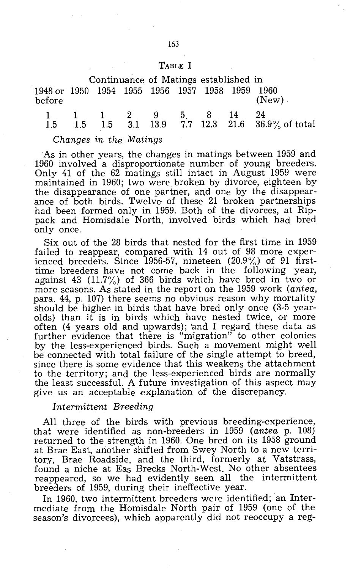### TABLE I

|                                                           |  |  | Continuance of Matings established in |           |  |
|-----------------------------------------------------------|--|--|---------------------------------------|-----------|--|
| 1948 or 1950 1954 1955 1956 1957 1958 1959 1960<br>before |  |  |                                       | $(New)$ . |  |

|  |  |  |  | $1 \quad 1 \quad 1 \quad 2 \quad 9 \quad 5 \quad 8 \quad 14 \quad 24$ |
|--|--|--|--|-----------------------------------------------------------------------|
|  |  |  |  | 1.5 1.5 1.5 3.1 13.9 7.7 12.3 21.6 36.9% of total                     |

### *Changes in the Matings*

As in other years, the changes in matings between 1959 and 1960 involved a disproportionate number of young breeders. Only 41 of the  $62$  matings still intact in August 1959 were maintained in 1960; two were broken by divorce, eighteen by the disappearance of one partner, and one by the disappearance of both birds. Twelve of these 21 broken partnerships had been formed only in 1959. Both of the divorces, at Rippack and Homisdale North, involved birds which had bred only once.

Six out of the 28 birds that nested for the first time in 1959 failed to reappear, compared with 14 out of 98 more experienced breeders. Since 1956-57, nineteen  $(20.9\%)$  of 91 firsttime breeders have not come back in the following year, against 43 (11.7%) of 366 birds which have bred in two or more seasons. As stated in the report on the 1959 work *(antea,*  para. 44, p. 107) there seems no obvious reason why mortality should be higher in birds that have bred only once (3-5 yearolds) than it is in birds which have nested twice, or more often (4 years old and upwards); 'and I regard these data as further evidence that there is "migration" to other colonies by the less-experienced birds. Such a movement might well be connected with total failure of the single attempt to breed, since there is some evidence that this weakens the attachment to the territory; and the less-experienced birds are normally the least successful. A future investigation of this aspect may give us an acceptable explanation of the discrepancy.

### *Intermittent Breeding*

All three of the birds with previous breeding~experience, that were identified as non-breeders in 1959 *(antea* p. 108) returned to the strength in 1960. One bred on its 1958 ground at Brae East, another shifted from Swey North to a new territory, Brae Roadside, and the third, formerly at Vatstrass, found a niche at Eas Brecks North-West. No other absentees reappeared, so we had evidently seen all the intermittent breeders of 1959, during their ineffective year.

**In** 1960, two intermittent breeders were identified; an Intermediate from the Homisdale North pair of 1959 (one of the season's divorcees), which apparently did not reoccupy a reg-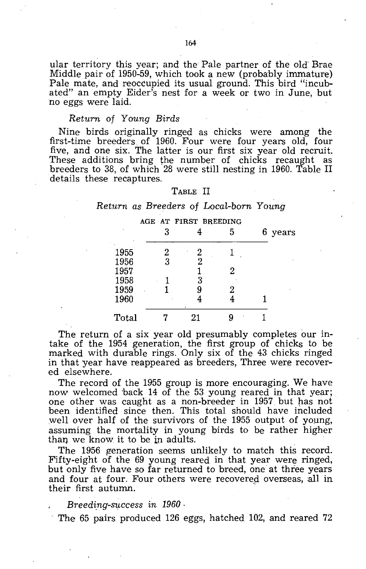ular territory this year; and the Pale partner of the old' Brae Middle pair of 1950-59, which took a new (probably immature) Pale mate, and reoccupied its usual ground. This bird "incubated" an empty Eider's nest for a week or two in June, but no eggs were laid.

### *Return* of *Young Birds*

Nine birds originally ringed as chicks were among the first-time breeders of 1960. Four were four years old, four five, and one six. The latter is our first six year old recruit. These additions bring the number of chicks recaught as breeders to 38, of which 28 were still nesting in 1960. Table II details these recaptures.

### TABLE II

# *Return as Breeders* of *Local-born Young*

|              |   | AGE AT FIRST BREEDING |   |         |
|--------------|---|-----------------------|---|---------|
|              | 3 |                       | 5 | 6 years |
| 1955         | 2 | 2                     |   |         |
| 1956         | 3 | 2                     |   |         |
| 1957<br>1958 |   | 3                     | 2 |         |
| 1959         |   |                       | 2 |         |
| 1960         |   |                       |   |         |
| Total        |   | 21                    |   |         |

The return of a six year old presumably completes our intake of the 1954 generation, the first group of chicks to be marked with durable rings. Only six of the 43 chicks ringed in that year have reappeared as breeders, Three were recovered elsewhere.

The record of the 1955 group is more encouraging. We have now welcomed 'back 14 of the 53 young reared in that year; one other was caught as a non-breeder in 1957 but has not 'been identified since then. This total should have included well over half of the survivors of the 1955 output of young, assuming the mortality in young birds to be rather higher than we know it to be in adults.

The 1956 generation seems unlikely to match this record. Fifty-eight of the 69 young reared in that year were ringed, but only five have so far returned to breed, one at three years and four at four. Four others were recovered overseas, all in their first autumn. .

*Breeding-success in 1960*.

The 65 pairs produced 126 eggs, hatched 102, and reared 72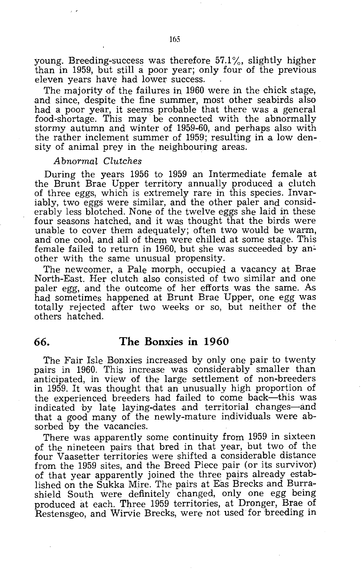young. Breeding-success was therefore 57.1%, slightly higher than in 1959, but still a poor year; only four of the previous eleven years have had lower success.

The majority of the failures in 1960 were in the chick stage, and since, despite the fine summer, most other seabirds also had a poor year, it seems probable that there was a general food-shortage. This may' be connected with the abnormally stormy autumn and winter of 1959-60, and perhaps also with the rather inclement summer of  $1959$ ; resulting in a low density of animal prey in the neighbouring areas.

### *Abnormal Clutches*

During the years 1956 to 1959 an Intermediate female at the Brunt Brae Upper territory annually produced a clutch of three eggs, which is extremely rare in this species. Invariably, two eggs were similar, and the other paler and considerably less blotched. None of the twelve eggs she laid in these four seasons hatched, and it was thought that the birds were unable to cover them adequately; often two would be warm, and one cool, and all of them were chilled at some stage. This female failed to return in 1960, but she was succeeded by another with the same unusual propensity.

The newcomer, a Pale morph, occupied a vacancy at Brae North-East. Her clutch also consisted of two similar and one paler egg, and' the outcome of her efforts was the same. As had sometimes happened at Brunt Brae Upper, one egg was totally rejected after two weeks or so, but neither of the others hatched.

# **66. The Bonxies in 1960**

The Fair Isle Bonxies increased by only one pair to twenty pairs in 1960. This increase was considerably smaller than anticipated, in view of the large settlement of non-breeders in 1959. It was thought that an unusually high proportion of the experienced breeders had failed to come back-this was indicated by late laying-dates and territorial changes-and that a good many of the neWly-mature individuals were **ab**sorbed by the vacancies.

There was apparently some continuity from 1959 in sixteen of the nineteen pairs that bred in that year, but two of the four Vaasetter territories were shifted a considerable distance from the 1959 sites, and the Breed Piece pair (or its survivor) of that year apparently joined the three pairs already established on the Sukka Mire. The pairs at Eas Brecks and Burrashield South were definitely changed, only one egg being produced at each. Three 1959 territories, at Dronger, Brae of Restensgeo, and Wirvie Brecks, were not used' for 'breeding in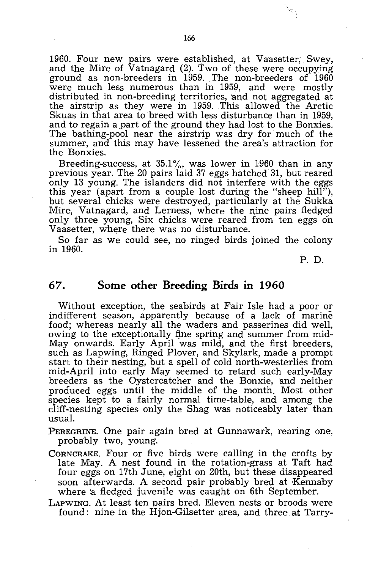1960. Four new pairs were established, at Vaasetter, Swey, and the Mire of Vatnagard (2). Two of these were occupying ground as non-breeders in 1959. The non-breeders of 1960 were much less numerous than in 1959, and were mostly distributed in non-breeding territories, and not aggregated at the airstrip as they were in 1959. This allowed the Arctic Skuas in that area to breed with less disturbance than in 1959, and to regain a part of the ground they had lost to the Bonxies. The bathing-pool near the airstrip was dry for much of the summer, and this may have lessened the area's attraction for the Bonxies.

Breeding-success, at  $35.1\%$ , was lower in 1960 than in any previous year. The 20 pairs laid 37 eggs hatched 31, but reared only 13 young. The islanders did not interfere with the eggs this year (apart from a couple lost during the "sheep hill"), but several chicks were destroyed, particularly at the Sukka Mire, Vatnagard, and Lerness, where the nine pairs fledged only three young, Six chicks were reared from ten eggs on Vaasetter, where there was no disturbance.

So far as we could see, no ringed birds joined the colony in 1960.

P. D.

# **67. Some other Breeding Birds in 1960**

Without exception, the seabirds at Fair Isle had a poor or indifferent season, apparently because of a lack of marine food; whereas nearly all the waders and passerines did well, owing to the exceptionally fine spring and summer from mid-May onwards. Early April was mild, and the first breeders, such as Lapwing, Ringed Plover, and Skylark, made a prompt start to their nesting, but a spell of cold north-westerlies from mid-April into early May seemed to retard such early-May breeders as the Oystercatcher and the Bonxie, and neither produced eggs until the middle of the month. Most other species kept to a fairly normal time-table, and among the cliff-nesting species only the Shag was noticeably later than usual.

PEREGRINE. One pair again bred at Gunnawark, rearing one, probably two, young.

CORNCRAKE. Four or five birds were calling in the crofts by late May. A nest found in the rotation-grass at Taft had four eggs on 17th June, eight on 20th, but these disappeared soon afterwards. A second pair probably bred at Kennaby where a fledged juvenile was caught on 6th September.

LAPWING. At least ten pairs bred. Eleven nests or broods were found: nine in the Hjon-Gilsetter area, and three at Tarry-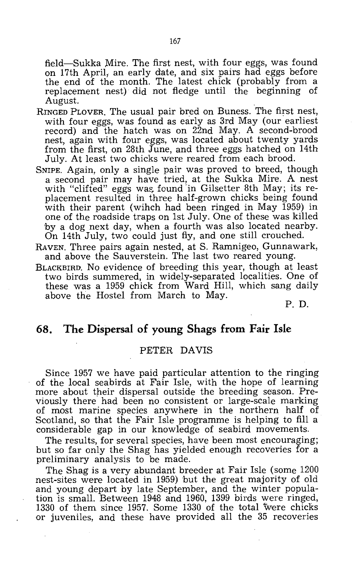field-Sukka Mire. The first nest, with four eggs, was found on 17th April, an early date, and six pairs had eggs before the end of the month. The latest chick (probably from a replacement nest) did not fledge until the beginning of August.

- RINGED PLOVER, The usual pair bred on Buness. The first nest, with four eggs, was found as early as 3rd May (our earliest record) and the hatch was on 22nd May. A second-brood nest, again with four eggs, was located about twenty yards from the first, on 28th June, and three eggs hatched on 14th July. At least two chicks were reared from each brood.
- SNIPE. Again, only a single pair was proved to breed, though a second pair may have tried, at the Sukka Mire. A nest with "clifted" eggs was found in Gilsetter 8th May; its replacement resulted in three half-grown chicks being found with their parent (wihch had been ringed in May 1959) in one of the roadside traps on 1st July. One of these was killed 'by a dog next day, when a fourth was also located nearby. On 14th July, two could just fly, and one still crouched.
- RAVEN. Three pairs again nested, at S. Ramnigeo, Gunnawark, and above the Sauverstein. The last two reared young.
- BLACKBIRD. No evidence of breeding this year, though at least two birds summered, in widely-separated localities. One of these was a 1959 chick from Ward Hill, which sang daily above the Hostel from March to May.

P. D.

# **68. The Dispersal of young Shags from Fair Isle**

### PETER DAVIS

Since 1957 we have paid particular attention to the ringing of the local seabirds at Fair Isle, with the hope of learning more about their dispersal outside the breeding season. Previously there had been no consistent or large-scale marking of most marine species anywhere in the northern half of Scotland, so that the Fair Isle programme is helping to fill a considerable gap in our knowledge of seabird movements.

The results, for several species, have been most encouraging; but so far only the Shag has yielded enough recoveries for a preliminary analysis to be made.

The Shag is a very abundant breeder at Fair Isle (some 1200 nest-sites were located in 1959) but the great majority of old and young depart by late September, and the winter population is small. Between 1948 and 1960, 1399 birds were ringed, 1330 of them since 1957. Some 1330 of the total were chicks or juveniles, and these have provided all the 35 recoveries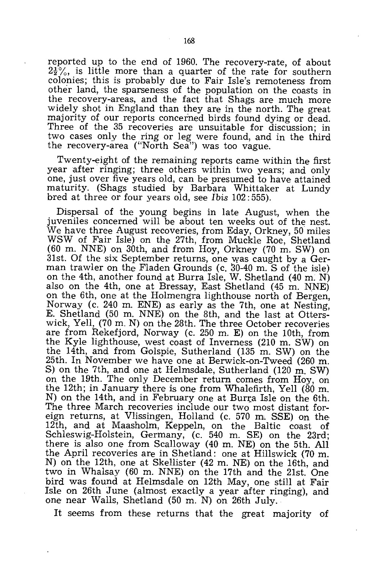reported up to the end of 1960. The recovery-rate, of about  $2\frac{1}{2}\%$ , is little more than a quarter of the rate for southern colonies; this is probably due to Fair Isle's remoteness from other land, the sparseness of the population on the coasts in the recovery-areas, and the fact that Shags are much more widely shot in England than they are in the north. The great majority of our reports concerned birds found dying or dead. Three of the 35 recoveries are unsuitable for discussion; in two cases only the ring or leg were found, and in the third the recovery-area ("North Sea") was too vague.

Twenty-eight of the remaining reports came within the first year after ringing; three others within two years; and only one, just over five years old, can be presumed to have attained maturity. (Shags studied by Barbara Whittaker at Lundy bred at three or four years old, see *Ibis* 102: 555).

Dispersal of the young begins in late August, when the juveniles concerned will be about ten weeks out of the nest. We have three August recoveries, from Eday, Orkney, 50 miles WSW of Fair Isle) on the 27th, from Muckle Roe, Shetland (60 m. NNE) on 30th, and from Hoy, Orkney (70 m. SW) on 31st. Of the six September returns, one was caught by a German trawler on the Fladen Grounds (c. 30-40 m. S of the isle) on the 4th, another found at Burra Isle, W. Shetland (40 m. N) also on the 4th, one at Bressay, East Shetland (45 m. NNE) on the 6th, one at the Holmengra lighthouse north of Bergen, Norway (c. 240 m. ENE) as early as the 7th, one at Nesting, E. Shetland (50 m. NNE) on the 8th, and the last at Otterswick, Yell, (70 m. N) on the 28th. The three October recoveries are from Rekefjord, Norway (c. 250 m. E) on the 10th, from the Kyle lighthouse, west coast of Inverness (210 m. SW) on the 14th, and from Golspie, Sutherland (135 m. SW) on the 25th. In November we have one at Berwick-on-Tweed (260 m. S) on the 7th, and one at Helmsdale, Sutherland (120 m. SW) on the 19th. The only December return comes from Hoy, on the 12th; in January there is one from Whalefirth, Yell (80 m. N) on the 14th, and in February one at Burra Isle on the 6th. The three March recoveries include our two most distant foreign returns, at Vlissingen, Holland (c. 570 m. SSE) on the 12th, and at Maasholm, Keppeln, on the Baltic coast of Schleswig-Holstein, Germany, (c. 540 m. SE) on the 23rd; there is also one from Scalloway (40 m. NE) on the 5th. All the April recoveries are in Shetland: one at Hillswick (70 m. N) on the 12th, one at Skellister (42 m. NE) on the 16th, and two in Whalsay (60 m. NNE) on the 17th and the 21st. One bird was found at Helmsdale on 12th May, one still at Fair Isle on 26th June (almost exactly a year after ringing), and one near Walls, Shetland (50 m. N) on 26th July.

It seems from these returns that the great majority of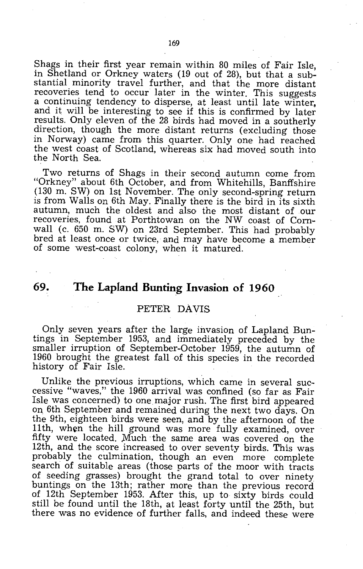Shags in their first year remain within 80 miles of Fair Isle, in Shetland or Orkney waters (19 out of 28), but that a substantial minority travel further, and that the more distant recoveries tend to occur later in the winter. This suggests a continuing tendency to disperse, at least until late winter. and it will be interesting to see if this is confirmed by later results. Only eleven of the 28 birds had moved in a southerly direction, though the more distant returns (excluding those in Norway) came from this quarter. Only one had reached the west coast of Scotland, whereas six had moved south into the North Sea.

Two returns of Shags in their second autumn come from "Orkney" about 6th October, and from Whitehills, Banffshire (130 m. SW) on 1st November. The only second-spring return is from Walls on 6th May. Finally there is the bird in its sixth autumn, much the oldest and also the most distant of our recoveries, found at Porthtowan on the NW coast of Cornwall (c. 650 m. SW) on 23rd September. This had probably bred at least once or twice, and may have become a member of some west-coast colony, when it matured.

# **69. The Lapland Bunting Invasion of 1960**

### PETER DAVIS

Only seven years after the large invasion of Lapland Buntings in September 1953, and immediately preceded by the smaller irruption of September-October 1959, the autumn of 1960 brought the greatest fall of this species in the recorded history of Fair Isle.

Unlike the previous irruptions, which came in several successive "waves," the 1960 arrival was confined (so far as Fair Isle was concerned) to one major rush. The first bird appeared on 6th September and remained during the next two days. On the 9th, eighteen birds were seen, and by the afternoon of the 11 th, when the hill ground was more fully examined, over fifty were located. Much the same area was covered on the 12th, and the score increased to over seventy birds. This was probably the culmination, though an even more complete search of suitable areas (those parts of the moor with tracts of seeding grasses) brought the grand total to over ninety buntings on the 13th; rather more than the previous record of 12th September 1953. After this, up to sixty birds could still be found until the 18th, at least forty until the 25th, but there was no evidence of further falls, and indeed these were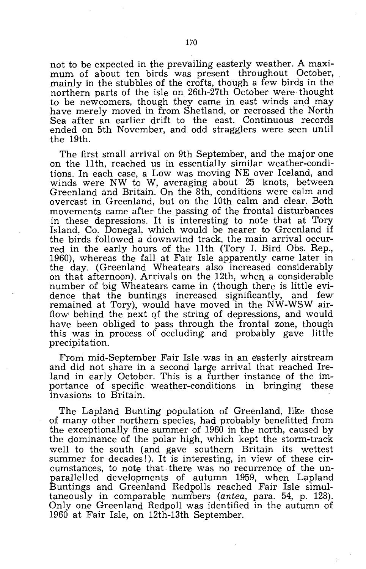not to be expected in the prevailing easterly weather. A maximum of about ten birds was present throughout October, mainly in the stubbles of the crofts, though a few birds in the northern parts of the isle on 26th-27th October were thought to be newcomers, though they came in east winds and may have merely moved in from Shetland, or recrossed the North Sea after an earlier drift to the east. Continuous records ended on 5th November, and odd stragglers were seen until the 19th.

The first small arrival on 9th September, and the major one on the 11th, reached us in essentially similar weather-conditions. In each case, a Low was moving NE over Iceland, and winds were NW to W, averaging about 25 knots, between Greenland and Britain. On the 8th, conditions were calm and overcast in Greenland, but on the 10th calm and clear. Both movements came after the passing of the frontal disturbances in these depressions. It is interesting to note that at Tory Island, Co. Donegal, which would be nearer to Greenland if the birds followed a downwind track, the main arrival occurred in the early hours of the 11th (Tory 1. Bird Obs. Rep., 1960), whereas the fall at Fair Isle apparently came later in the day. (Greenland Wheatears also increased considerably on that afternoon). Arrivals on the 12th, when a considerable number of big Wheatears came in (though there is little evidence that the buntings increased significantly, and few remained at Tory), would have moved in the NW-WSW airflow behind the next of the string of depressions, and would have been obliged to pass through the frontal zone, though this was in process of occluding and probably gave little precipitation.

From mid-September Fair Isle was in an easterly airstream and did not share in a second large arrival that reached Ireland in early October. This is a further instance of the importance of specific weather-conditions in bringing these invasions to Britain.

The Lapland Bunting population of Greenland, like those of many other northern species, had probably benefitted from the exceptionally fine summer of 1960 in the north, caused by the dominance of the polar high, which kept the storm-track well to the south (and gave southern Britain its wettest summer for decades!). It is interesting, in view of these circumstances, to note that there was no recurrence of the unparallelled developments of autumn 1959, when Lapland Buntings and Greenland Redpolls reached Fair Isle simultaneously in comparable numbers (antea, para. 54, p. 128). Only one Greenland Redpoll was identified in the autumn of 1960 at Fair Isle, on 12th-13th September.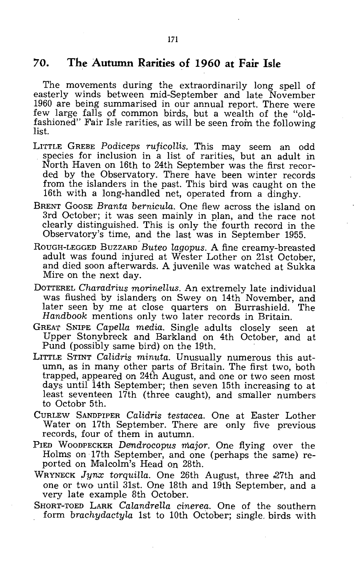# **70. The Autumn Rarities of 1960 at Fair Isle**

The movements during the extraordinarily long spell of easterly winds between mid-September and late November 1960 are being summarised in our annual report. There were few large falls of common birds, but a wealth of the "oldfashioned" Fair Isle rarities, as will be seen from the following list.

- LITTLE GREBE *Podiceps rUficollis.* This may seem an odd species for inclusion in a list of rarities, but an adult in North Haven on 16th to 24th September was the first recorded by the Observatory. There have been winter records from the islanders in the past. This bird was caught on the 16th with a long-handled net, operated from a dinghy.
- BRENT GOOSE *Branta bernicula.* One flew across the island on 3rd October; it was seen mainly in plan, and the race not clearly distinguished. This is only the fourth record in the Observatory's time, and the last was in September 1955.
- ROUGH-LEGGED BUZZARD *Buteo lagopus*. A fine creamy-breasted adult was found injured at Wester Lother on 21st October, and died soon afterwards. A juvenile was watched at Sukka Mire on the next day.
- DOTTEREL *Charadrius morinellus.* An extremely late individual was flushed by islanders on Swey on 14th November, and later seen by me at close quarters on Burrashield. The *Handbook* mentions only two later records in Britain.
- GREAT SNIPE *Capella media.* Single adults closely seen at Upper Stonybreck and Barkland on 4th October, and at Pund (possibly same bird) on the 19th.
- LITTLE STINT *Calidris minuta.* Unusually numerous this autumn, as in many other parts of Britain. The first two, both trapped, appeared on 24th August, and one or two seen most days until 14th September; then seven 15th increasing to at least seventeen 17th (three caught), and smaller numbers to Octobr 5th.
- CURLEW SANDPIPER *Calidris testacea.* One at Easter Lother Water on 17th September. There are only five previous records, four of them in autumn.
- PIED WOODPECKER *Derndrocopus major.* One flying over the Holms on 17th September, and one (perhaps the same) reported on Malcolm's Head on 28th.
- WRYNECK Jynx torquilla. One 26th August, three 27th and one or two until 31st. One 18th and 19th September, and a very late example 8th October.
- SHORT-TOED LARK *Calandrella cinerea.* One of the southern form *brachydactyla* 1st to 10th October; single. birds with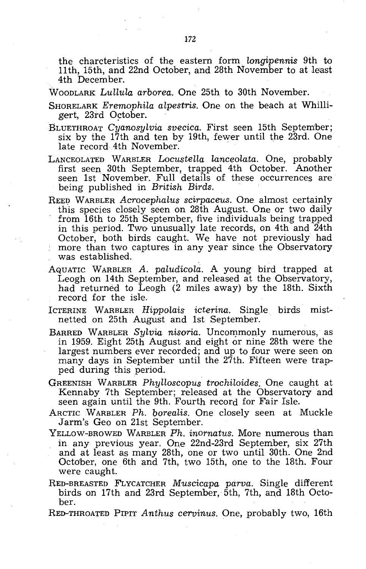the charcteristics of the. eastern form *Longipennis* 9th to 11th, 15th, and 22nd October, and 28th November to at least 4th December.

- WOODLARK *Lullula arborea.* One 25th to 30th November.
- SHORELARK *Eremophila alpestris.* One on the beach at Whilligert, 23rd October.
- BLUETHROAT *Cyanosylvia svecica.* First seen 15th September; six by the 17th and ten by 19th, fewer until the 23rd. One late record 4th November.
- LANCEOLATED WARBLER *Locustella Lanceolata.* One, probably first seen 30th September, trapped 4th October. Another seen 1st November. Full details of these occurrences are being published in *British Birds.*
- REED WARBLER *Acrocephalus scirpaceus.* One almost certainly this species closely seen on 28th August. One or two daily from 16th to 25th September, five individuals being trapped in this period. Two unusually late records, on 4th and 24th October, both birds caught. We have not previously had more than two captures in any year since the Observatory was established.
- AQUATIC WARBLER *A. paludicola.* A young bird trapped at Leogh on 14th September, and released at the Observatory, had returned to Leogh  $(2 \text{ miles away})$  by the 18th. Sixth record for the isle.
- ICTERINE WARBLER *Hippolais icterina.* Single birds mistnetted on 25th August and 1st September.
- BARRED WARBLER Sylvia nisoria. Uncommonly numerous, as in 1959. Eight 25th August and eight or nine 28th were the largest numbers ever recorded; and up to four were seen on many days in September until the 27th. Fifteen were trapped during this period.
- GREENISH WARBLER *Phylloscopus trochiloides.* One caught at Kennaby 7th September; released at the Observatory and seen again until the 9th. Fourth record for Fair Isle.
- ARCTICW ARBLER *Ph. borealis.* One closely seen at Muckle Jarm's Geo on 21st September.
- YELLOW-BROWED WARBLER *Ph. inornatus.* More numerous than in any previous year. One 22nd-23rd September, six 27th and at least as many 28th, one or two until 30th. One 2nd October, one 6th and 7th, two 15th, one to the 18th. Four were caught.
- RED-BREASTED FLYCATCHER *Muscicapa parva.* Single different birds on 17th and 23rd September, 5th, 7th, and 18th October.
- RED-THROATED PIPIT *Anthus cervinus.* One, probably two, 16th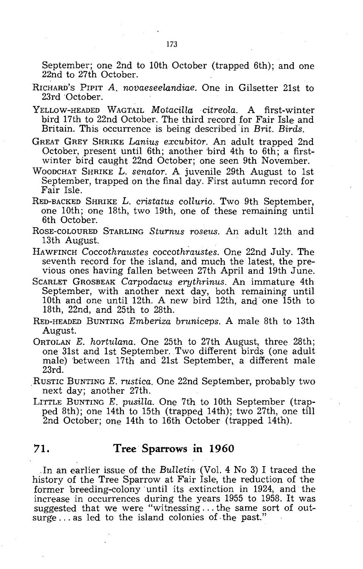September; one 2nd to 10th October (trapped 6th); and one 22nd to 27th October.

- RICHARD'S PIPIT *A. novaeseelandiae.* One in Gilsetter 21st to 23rd 'October.
- YELLOW-HEADED WAGTAIL *MotacillaJcitreola.* A first-winter bird 17th to 22nd October. The third record for Fair Isle and Britain. This occurrence is being described in *Brit. Birds.*
- GREAT GREY SHRIKE *Lanius excubitor.* An adult trapped 2nd October, present until 6th; another 'bird 4th to 6th; a firstwinter bird caught 22nd October; one seen 9th November.
- WOODCHAT SHRIKE L. *senator.* A juvenile 29th August to 1st September, trapped on the final day. First autumn record for Fair Isle.
- RED-BACKED SHRIKE L. *cristatus collurio.* Two 9th September, one 10th; one 18th, two 19th, one of these remaining until 6th October.
- ROSE-COLOURED STARLING *Sturnus roseus.* An adult 12th and 13th August.
- HAWFINCH *Coccothraustes coccothraustes.* One 22nd July. The seventh record for the island, and much the latest, the previous ones having fallen between 27th April and 19th June.
- SCARLET GROSBEAK *Carpodacus erythrinus.* An immature 4th September, with another next day, both remaining until 10th and one until 12th. A new bird 12th, and "one 15th to 18th, 22nd, and 25th to 28th.
- RED-HEADED BUNTING *Emberiza bruniceps.* A male 8th to 13th August.
- ORTOLAN *E. hortulana.* One 25th to 27th August, three 28th; one 31st and 1st September. Two different birds (one adult male) 'between 17th and 21st September, a different male 23rd.
- ,RUSTIC BUNTING *E. rustica.* One 22nd September, probably two next day; another 27th.
- LITTLE BUNTING *E. pusilla.* One 7th to 10th September (trapped 8th); one 14th to 15th (trapped 14th); two 27th, one till 2nd October; one 14th to 16th October (trapped 14th).

# **71. Tree Sparrows in 1960**

In an earlier issue of the *Bulletin* (Vol. 4 No 3) I traced the history of the Tree Sparrow at Fair Isle, the reduction of the former breeding-colony until its extinction in 1924, and the increase in occurrences during the years 1955 to 1958. It was suggested that we were "witnessing ... the same sort of outsurge  $\ldots$  as led to the island colonies of the past."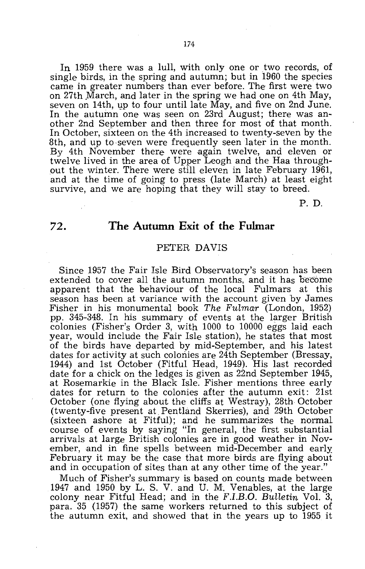In 1959 there was a lull, with only one or two records, of single birds, in the spring and autumn; but in 1960 the species came in greater numbers than ever before. The first were two on 27th March, and later in the spring we had one on 4th May, seven on 14th, up to four until late May, and five on 2nd June. In the autumn one was seen on 23rd August; there was another 2nd September and then three for most of that month. In October, sixteen on the 4th increased to twenty-seven by the 8th, and up to seven were frequently seen later in the month. By 4th November there were again twelve, and eleven or twelve lived in the area of Upper Leogh and the Haa throughout the winter. There were still eleven in late February 1961, and at the time of going to press (late March) at least eight survive, and we are hoping that they will stay to breed.

P. D.

# 72. **The Autumn Exit of the Fulmar**

# PETER DAVIS

Since 1957 the Fair Isle Bird Observatory's season has been extended to cover all the autumn months, and it has become apparent that the behaviour of the local Fulmars at this season has been at variance with the account given by James Fisher in his monumental book *The Fulmar* (London, 1952) pp. 345-348. In his summary of events at the larger British colonies (Fisher's Order 3, with 1000 to 10000 eggs laid each year, would include the Fair Isle station), he states that most of the birds have departed by mid-September, and his latest dates for activity at such colonies are 24th September (Bressay, 1944) and 1st October (Fitful Head, 1949). His last recorded date for a chick on the ledges is given as 22nd September 1945, at Rosemarkie in the Black Isle. Fisher mentions three early dates for return to the colonies after the autumn exit: 21st October (one flying about the cliffs at Westray), 28th October (twenty-five present at Pentland Skerries), and 29th October (sixteen ashore at Fitful); and he summarizes the normal course of events by saying "In general, the first substantial arrivals at large British colonies are in good weather in November, and in fine spells between mid-December and early February it may be the case that more birds are flying about and in occupation of sites than at any other time of the year."

Much of Fisher's summary is based on counts made between 1947 and 1950 by L. S. V. and U. M. Venables, at the large colony near Fitful Head; and in the *F.I.B.G. Bulletin* Vol. 3, para. 35 (1957) the same workers returned to this su'bject of the autumn exit, and showed that in the years up to 1955 it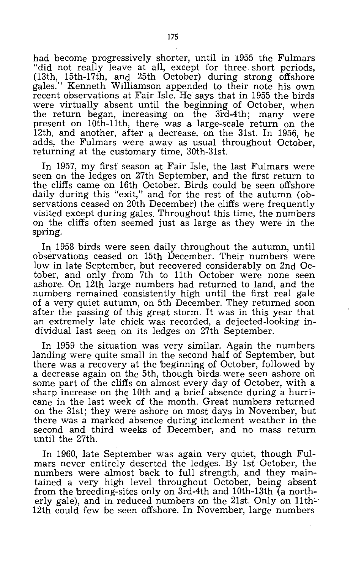had become progressively shorter, until in 1955 the Fulmars "did not really leave at all, except for three short periods, (13th, 15th-17th, and 25th October) during strong offshore gales." Kenneth Williamson appended to their note his own recent observations at Fair Isle. He says that in 1955 the birds were virtually absent until the beginning of October, when the return began, increasing on the  $3\bar{r}$ -4th; many were present on 10th-11th, there was a. large-scale return on the 12th, and another, after a decrease, on the 31st. In 1956, he adds, the Fulmars were away as usual throughout October, returning at the customary time, 30th-31st.

In 1957, my first' season at Fair Isle, the last Fulmars were seen on the ledges on 27th September, and the first return to the cliffs came on 16th October. Birds could be seen offshore daily during this "exit," and for the rest of the autumn (observations ceased on 20th December) the cliffs were frequently visited except during gales. Throughout this time, the numbers on the cliffs often seemed just as large as they were in the spring.

In 1958 birds were seen daily throughout the autumn, until observations ceased on 15th December. Their numbers were low in late September, but recovered considerably on 2nd October, and only from 7th to 11th October were none seen ashore. On 12th large numbers had returned to land, and the numbers remained consistently high until the first real gale of a very quiet autumn, on 5th December. They returned soon after the passing of this great storm. It was in this year that an extremely late chick was recorded, a dejected-looking individual last seen on its ledges on 27th September.

In 1959 the situation was very similar. Again the numbers landing were quite small in the second half of September, but there was a recovery at the beginning of October, followed by a decrease again on the 5th, though birds were seen ashore on some part of the cliffs on almost every day of October, with a sharp increase on the 10th and a brief absence during a hurricane in the last week of the month. Great numbers returned on the 31st; they were ashore on most days in November, but there was a marked absence during inclement weather in the second and third weeks of December, and no mass return untit the 27th.

In 1960, late September was again very quiet, though Fulmars never entirely deserted the ledges. By 1st October, the numbers were almost back to full strength, and they maintained a very high level throughout October, being absent from the breeding-sites only on 3rd-4th and 10th-13th (a northerly gale), and in reduced numbers on the 21st. Only on 11th-12th could few be seen offshore. In November, large numbers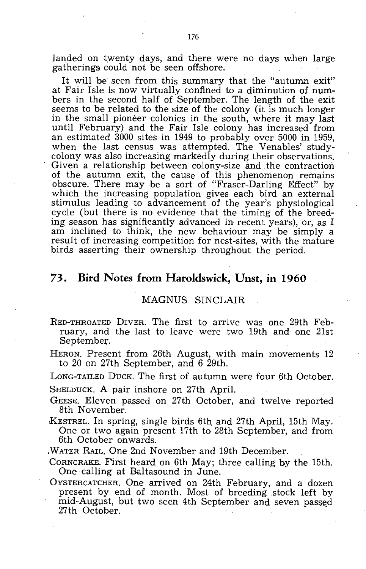landed on twenty days, and there were no days when large gatherings could not be seen offshore.

It will be seen from this summary that the "autumn exit" at Fair Isle *is* now virtually confined to a diminution of numbers in the second half of September. The length of the exit seems to be related to the size of the colony (it is much longer in the small pioneer colonies in the south, where it may last until February) and the Fair Isle colony has increased from an estimated 3000 sites in 1949 to probably over 5000 in 1959, when the last census was attempted. The Venables' studycolony was also increasing markedly during their observations. Given a relationship between colony-size and .the contraction of the autumn exit, the cause of this phenomenon remains obscure. There may be a sort of "Fraser-Darling Effect" by which the increasing population gives each bird an external stimulus leading to advancement of the year's physiological cycle (but there is no evidence that the timing of the breeding season has significantly advanced in recent years), or, as I am inclined to think, the new behaviour may be simply a result of increasing competition for nest-sites, with the mature birds asserting their ownership throughout the period.

# 73. **Bird Notes from Haroldswick, Unst, in 1960**

### MAGNUS SINCLAIR

- RED-THROATED DIVER. The first to arrive was one 29th February, and the last to leave were two 19th and one 21st September.
- HERON. Present from 26th August, with main movements 12 to 20 on 27th September, and 6 29th.

LONG-TAILED DucK. The first of autumn were four 6th October.

SHELDUCK. A pair inshore on 27th April.

- GEESE. Eleven passed on 27th October, and twelve reported 8th November.
- KESTREL. In spring, single birds 6th and 27th April, 15th May. One or two again present 17th to 28th September, and from 6th October onwards .

. WATER RAIL. One 2nd November and 19th December.

CORNCRAKE. First heard on 6th May; three calling by the 15th. One calling at Baltasound in June.

OYSTERCATCHER. One arrived on 24th February, and a dozen present by end of month. Most of breeding stock left by mid-August, but two seen 4th September and seven passed 27th October.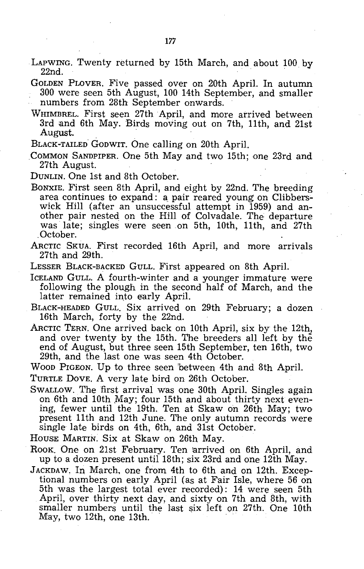LAPWING. Twenty returned by 15th March, and about 100. by 22nd.

GOLDEN PLOVER. Five passed over on 20th April. In autumn 300 were seen 5th August, 100 14th September, and smaller numbers from 2Bth September onwards.

WHIMBREL. First seen 27th April, and more arrived between 3rd and 6th May. Birds moving out on 7th, 11th, and 21st August.

BLACK-TAILED GODWIT. One calling on 20th April.

.COMMON SANDPIPER. One 5th May and two 15th; one 23rd and 27th August.

DUNLIN. One 1st and Bth October.

- BONXIE. First seen Bth April, and eight by 22nd. The breeding area continues to expand: a pair reared young on Clibberswick Hill (after an unsuccessful attempt in 1959) and another pair nested on the Hill of Colvadale. The departure was late; singles were seen on 5th, 10th, 11th, and 27th October.
- ARCTIC SKUA. First recorded 16th April, and more arrivals 27th and 29th.
- LESSER BLACK-BACKED GULL. First appeared on Bth April.

ICELAND GULL. A fourth-winter and a younger immature were following the plough in the second half of March, and the latter remained into early April.

- BLACK-HEADED GULL. Six arrived on 29th February; a dozen 16th March, forty by the 22nd.
- ARCTIC TERN. One arrived back on 10th April, six by the 12th, and over twenty by the 15th. The breeders all left by the end of August, but three seen 15th September, ten 16th, two 29th, and the last one was seen 4th October.

WOOD PIGEON. Up to three seen 'between 4th and Bth April.

- TURTLE DOVE. A very late bird on 26th October.
- SWALLOW. The first arrival was one 30th April. Singles again on 6th and 10th May; four 15th and about thirty next evening, fewer until the 19th. Ten at Skaw on 26th May; two present 11th and 12th June. The only autumn records were single late birds on 4th, 6th, and 31st October.

HOUSE MARTIN. Six at Skaw on 26th May.

- ROOK. One on 21st February. Ten arrived on 6th April, and up to a dozen present until 18th; six 23rd and one 12th May.
- JACKDAW. In March, one from 4th to 6th and on 12th. Exceptional numbers on early April (as at Fair Isle, where 56 on 5th was the largest total ever recorded): 14 were seen 5th April, over thirty next day, and sixty on 7th and Bth, with smaller numbers until the last six left on 27th. One 10th May, two 12th, one 13th.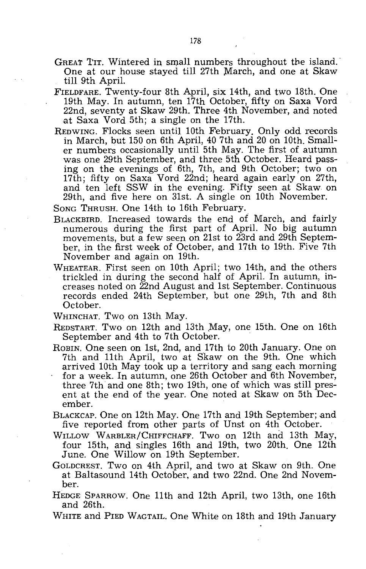- GREAT TIT. Wintered in small numbers throughout the island. One at our house stayed till 27th March, and one at Skaw till 9th April.
- FIELDFARE. Twenty-four 8th April, six 14th, and two 18th. One 19th May. In autumn, ten 17th October, fifty on Saxa Vord 22nd, seventy at Skaw 29th. Three 4th November, and noted ,at Saxa Vord 5th; a single on the 17th.
- REDWING. Flocks seen until 10th February. Only odd records in March, but 150 on 6th April, 40 7th and 20 on 10th. Smaller numbers occasionally until 5th May. The first of autumn was one 29th September, and three 5th October. Heard passing on the evenings of 6th, 7th, and 9th October; two on 17th; fifty on Saxa Vord 22nd; heard again early on 27th, and ten left SSW in the evening. Fifty seen at Skaw on 29th, and five here on 31st. A single on 10th November.

SONG THRUSH. One 14th to 16th February.

- BLACKBIRD. Increased towards the end of March, and fairly numerous during the first part of April. No big autumn movements, but a few seen on 21st to 23rd and 29th September, in the first week of October, and 17th to 19th. Five 7th November and again on 19th.
- WHEATEAR. First seen on 10th April; two 14th, and the others trickled in during the second half of April. In autumn, increases noted on 22nd August and 1st September. Continuous records ended 24th September, but one 29th, 7th and 8th October.

WHINCHAT. Two on 13th May.

- REDSTART. Two on 12th and 13th May, one 15th. One on 16th September and 4th to 7th October.
- ROBIN. One seen on 1st, 2nd, and 17th to 20th January. One on 7th and 11th April, two at Skaw on the 9th. One which arrived 10th May took up a territory and sang each morning for a week. In autumn, one 26th October and 6th November, three 7th and one 8th; two 19th, one of which was still present at the end of the year. One noted at Skaw on 5th December. .
- BLACKCAP. One on 12th May. One 17th and 19th September; and five reported from other parts of Unst on 4th October.
- WILLOW WARBLER/CHIFFCHAFF. Two on 12th and 13th May, four 15th, and singles 16th and 19th, two 20th. One 12th June. One Willow on 19th September.
- GOLDCREST. Two on 4th April, and two at Skaw on 9th. One at Baltasound 14th October, and two 22nd. One 2nd November.
- HEDGE SPARROW. One 11th and 12th April, two 13th, one 16th and 26th.
- WHITE and PIED WAGTAIL. One White on 18th and 19th January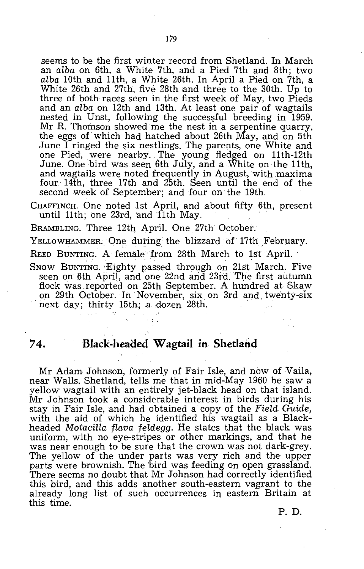seems to be the first winter record from Shetland. In March an *alba* on 6th, a White 7th, and a Pied 7th and 8th; two *alba* 10th and 11th, a White 26th. In April a Pied on 7th, a White  $26th$  and  $27th$ , five  $28th$  and three to the  $30th$ . Up to three of both races Seen in the first week of May, two Pieds and an *alba* on 12th and 13th. At least one pair of wagtails nested in Unst, following the successful breeding in 1959. Mr R. Thomson showed me the nest in a serpentine quarry, the eggs of which had hatched about 26th May, and on 5th June I ringed the six nestlings. The parents, one White and one Pied, were nearby. The young fledged on 11th-12th June. One bird was seen 6th July, and a White on the 11th, and wagtails were noted frequently in August, with maxima four 14th, three 17th and 25th. Seen until the end of the second week of September; and four on the 19th.

CHAFFINCH. One noted 1st April, and about fifty 6th, present until 11th; one 23rd, and 11th May. .

BRAMBLING. Three 12th April. One 27th October.

YELLOWHAMMER. One during the blizzard of 17th February.

REED BUNTING. A female from 28th March to 1st April.

SNOW BUNTING. Eighty passed through on 21st March. Five seen on 6th April, and one 22nd and 23rd. The first autumn flock was .reported on 25th September. A hundred at Skaw on 29th October. In November, six on 3rd and twenty-six next day; thirty 15th; a dozen 28th.

# **74. Black-headed Wagtail in Shetland**

Mr Adam Johnson, formerly of Fair Isle, and now of Vaila, near Walls, Shetland, tells me that in mid-May 1960 he saw a yellow wagtail with an entirely jet-black head on that island. Mr Johnson took a considerable interest in birds during his stay in Fair Isle, and had obtained a copy of the *Field. Guide,*  with the aid of which he identified his wagtail as a Blackheaded *MotaciLla flava feldegg.* He states that the black was uniform, with no eye-stripes or other markings, and that he was near enough to be sure that the crown was not dark-grey. The yellow of the under parts was very rich and the upper parts were brownish. The bird was feeding on open grassland. There seems no doubt that Mr Johnson had correctly identified this bird, and this adds another south-eastern vagrant to the already long list of such occurrences in eastern Britain at this time.

P. D.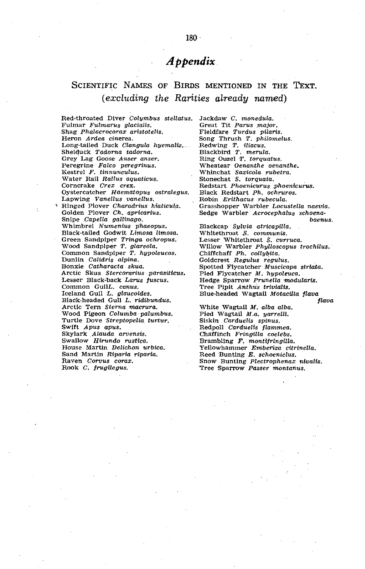# *Appendix*

# SCIENTIFIC NAMES OF BIRDS MENTIONED IN THE TEXT. *(excluding the Rarities aLready named)*

Red-throated Diver Colymbus stellatus. Jackdaw C. monedula. Fulmar Fulmarus glacialis. Shag Phalacrocorax aristotelis. Heron Ardea cinerea. Long-tailed Duck Clangula hyemalis... Shelduck Tadorna tadorna. Grey'Lag Goose Anser anser. Peregrine Falco peregrinus. Kestrel F. tinnuneulus. Water Rail Rallus aquatieus. Corncrake Crex crex. Oystercatcher Haematopus ostralegus. Lapwing Vanellus vanellus. , Ringed Plover Charadrius hiatieula. Golden Plover Ch. apricarius. Snipe Capella gallinago. Whimbrel Numenius phaeopus. Black-tailed Godwit Limosa limosa. Green Sandpiper *Tringa ochropus.*<br>Wood Sandplper *T. glareola.*<br>Common Sandpiper *T. hypoleucos.* Dunlin Calidris alpina. Bonxie Catharacta skua. Arctic Skua Stercorarius parasiticus. Lesser Black-back Larus fuscus. Common GullL. canus. Iceland Gull L. glaucoides. Black-headed Gull L. ridibundus. Arctic Tern Sterna maerura. Wood Pigeon Columba' palumbus. Turtle Dove Streptopelia turtur. Swift Apus apus. Skylark Alauda arvensis. Swallow' Hirundo rustiea. House Martin Delichon urbica. Sand Martin Riparia riparia. Raven Corvus corax. Rook C. frugilegus.

Great Tit Parus major. Fieldfare Turdus pilaris. Song Thrush T. philomelus. Redwing T. iliacus. Blackbird T. *merula*.<br>Ring Ouzel T. torquatus. Wheatear Oenanthe oenanthe. Whinchat Saxicola rubetra. Stonechat S. torquata. Redstart Phoenicurus phoenicurus. Black Redstart Ph. oehruros. Robin Erithacus rubecula. Grasshopper Warbler. Locustella naevia. Sedge Warbler Acrocephalus schoenabaenus. Blackcap . Sylvia atricapilla. Whitethroat ,S. communis. Lesser Whitethroat S. curruca. Willow Warbler Phylloscopus trochilus. Chiffchaff Ph. collybita. Goldcrest Regulus regulus. Spotted Flycatcher Muscicapa striata. Pied Flycatcher M. hypoleuca. Hedge Sparrow Prunella 'modularis. Tree Pipit Anthus trivialis. Blue-headed Wagtail Motacilla flava White Wagtail M. alba alba. Pied Wagtail M.a. yarrelli. Siskin Carduelis spinus. Redpoll Carduelis jlammea. Chaffinch Fringilla coelebs. Brambling F. montifringilla. Yellowhammer Emberiza citrinella. Reed 'Bunting E. schoeniclus. flava Snow Bunting Plectrophenax nivalis. 'Tree Sparrow Passer montanus.